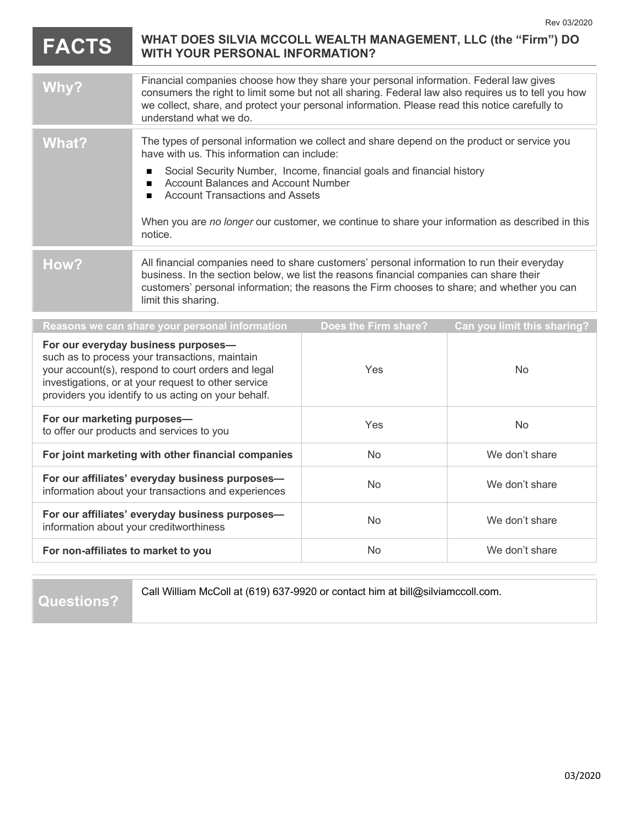|                                                                                                                                                                                                                                                           | <b>FACTS</b> | WHAT DOES SILVIA MCCOLL WEALTH MANAGEMENT, LLC (the "Firm") DO<br><b>WITH YOUR PERSONAL INFORMATION?</b>                                                                                                                                                                                                                                                                                                                            |                      |                             |
|-----------------------------------------------------------------------------------------------------------------------------------------------------------------------------------------------------------------------------------------------------------|--------------|-------------------------------------------------------------------------------------------------------------------------------------------------------------------------------------------------------------------------------------------------------------------------------------------------------------------------------------------------------------------------------------------------------------------------------------|----------------------|-----------------------------|
|                                                                                                                                                                                                                                                           | Why?         | Financial companies choose how they share your personal information. Federal law gives<br>consumers the right to limit some but not all sharing. Federal law also requires us to tell you how<br>we collect, share, and protect your personal information. Please read this notice carefully to<br>understand what we do.                                                                                                           |                      |                             |
|                                                                                                                                                                                                                                                           | <b>What?</b> | The types of personal information we collect and share depend on the product or service you<br>have with us. This information can include:<br>Social Security Number, Income, financial goals and financial history<br><b>Account Balances and Account Number</b><br>п<br><b>Account Transactions and Assets</b><br>▬<br>When you are no longer our customer, we continue to share your information as described in this<br>notice. |                      |                             |
|                                                                                                                                                                                                                                                           | How?         | All financial companies need to share customers' personal information to run their everyday<br>business. In the section below, we list the reasons financial companies can share their<br>customers' personal information; the reasons the Firm chooses to share; and whether you can<br>limit this sharing.                                                                                                                        |                      |                             |
|                                                                                                                                                                                                                                                           |              | Reasons we can share your personal information                                                                                                                                                                                                                                                                                                                                                                                      | Does the Firm share? | Can you limit this sharing? |
| For our everyday business purposes-<br>such as to process your transactions, maintain<br>your account(s), respond to court orders and legal<br>investigations, or at your request to other service<br>providers you identify to us acting on your behalf. |              | Yes                                                                                                                                                                                                                                                                                                                                                                                                                                 | <b>No</b>            |                             |
| For our marketing purposes-<br>to offer our products and services to you                                                                                                                                                                                  |              | Yes                                                                                                                                                                                                                                                                                                                                                                                                                                 | No.                  |                             |
| For joint marketing with other financial companies                                                                                                                                                                                                        |              |                                                                                                                                                                                                                                                                                                                                                                                                                                     | <b>No</b>            | We don't share              |
| For our affiliates' everyday business purposes-<br>information about your transactions and experiences                                                                                                                                                    |              |                                                                                                                                                                                                                                                                                                                                                                                                                                     | <b>No</b>            | We don't share              |
| For our affiliates' everyday business purposes-<br>information about your creditworthiness                                                                                                                                                                |              |                                                                                                                                                                                                                                                                                                                                                                                                                                     | N <sub>o</sub>       | We don't share              |
| For non-affiliates to market to you                                                                                                                                                                                                                       |              |                                                                                                                                                                                                                                                                                                                                                                                                                                     | <b>No</b>            | We don't share              |

**Questions?**

Call William McColl at (619) 637-9920 or contact him at bill@silviamccoll.com.